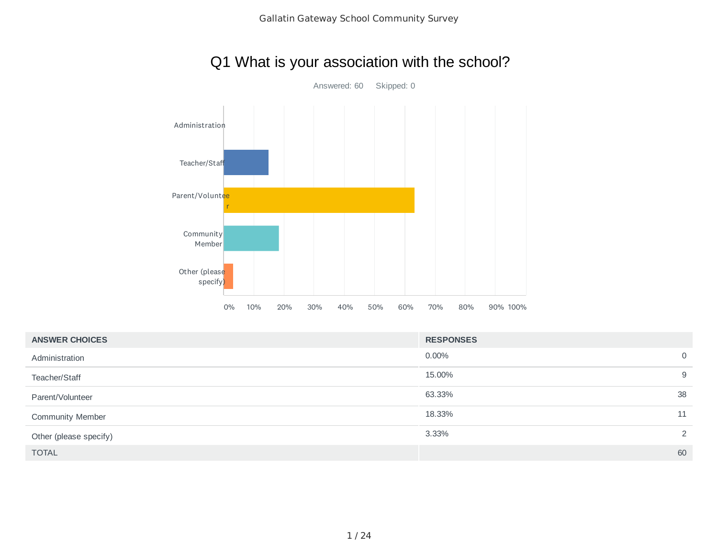## Q1 What is your association with the school?



| <b>ANSWER CHOICES</b>   | <b>RESPONSES</b> |                |
|-------------------------|------------------|----------------|
| Administration          | $0.00\%$         | $\overline{0}$ |
| Teacher/Staff           | 15.00%           | 9              |
| Parent/Volunteer        | 63.33%           | 38             |
| <b>Community Member</b> | 18.33%           | 11             |
| Other (please specify)  | 3.33%            | 2              |
| <b>TOTAL</b>            |                  | 60             |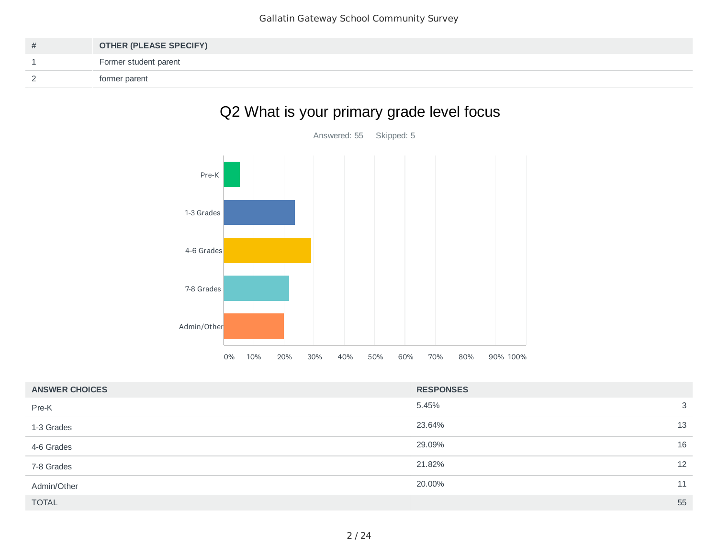| # | <b>OTHER (PLEASE SPECIFY)</b> |
|---|-------------------------------|
|   | Former student parent         |
|   | former parent                 |

# Q2 What is your primary grade level focus



| <b>ANSWER CHOICES</b> | <b>RESPONSES</b> |    |
|-----------------------|------------------|----|
| Pre-K                 | 5.45%            | 3  |
| 1-3 Grades            | 23.64%           | 13 |
| 4-6 Grades            | 29.09%           | 16 |
| 7-8 Grades            | 21.82%           | 12 |
| Admin/Other           | 20.00%           | 11 |
| <b>TOTAL</b>          |                  | 55 |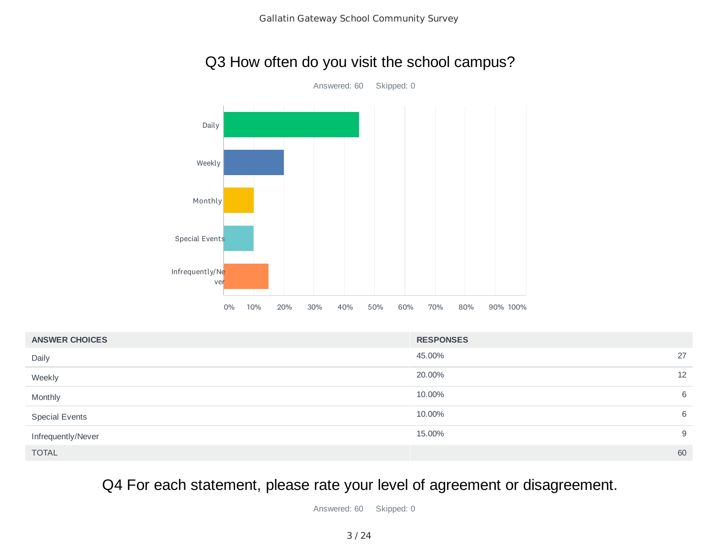## Q3 How often do you visit the school campus?



| <b>ANSWER CHOICES</b> | <b>RESPONSES</b> |    |
|-----------------------|------------------|----|
| Daily                 | 45.00%           | 27 |
| Weekly                | 20.00%           | 12 |
| Monthly               | 10.00%           | 6  |
| <b>Special Events</b> | 10.00%           | 6  |
| Infrequently/Never    | 15.00%           | 9  |
| <b>TOTAL</b>          |                  | 60 |

Q4 For each statement, please rate your level of agreement or disagreement.

Answered: 60 Skipped: 0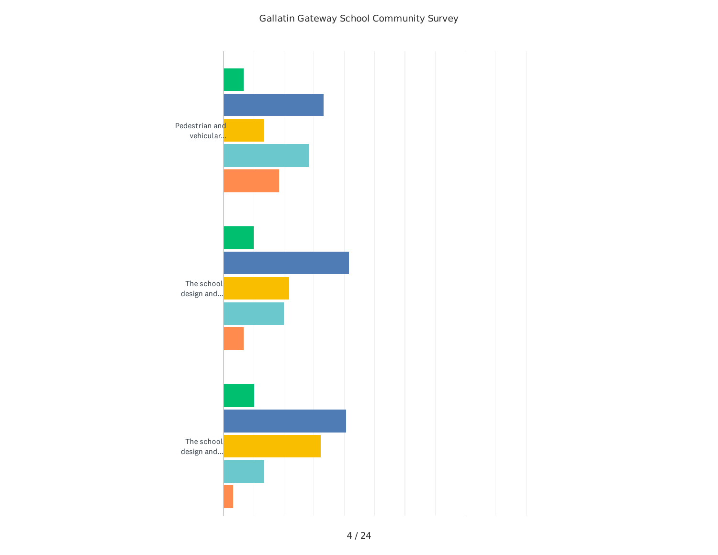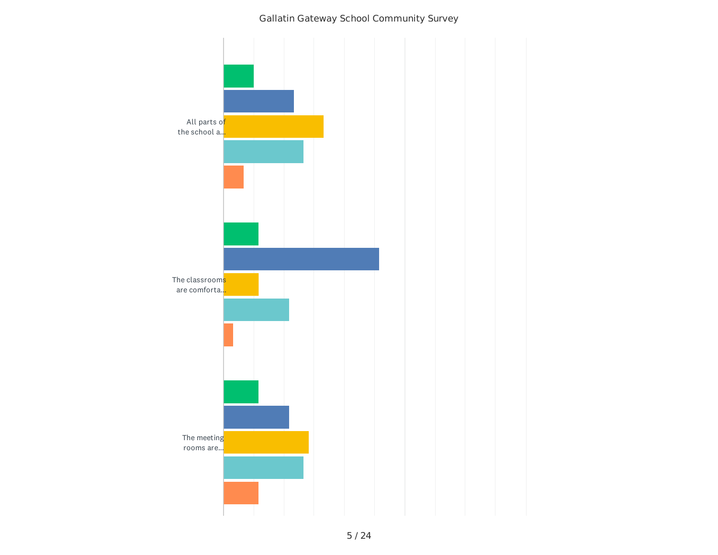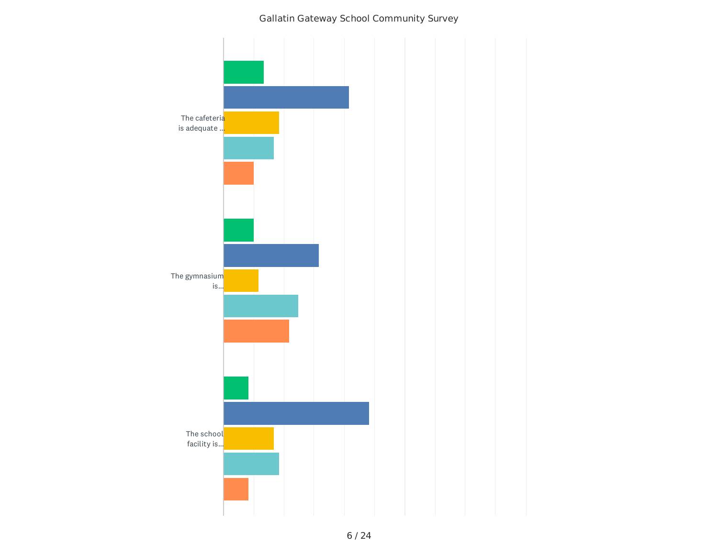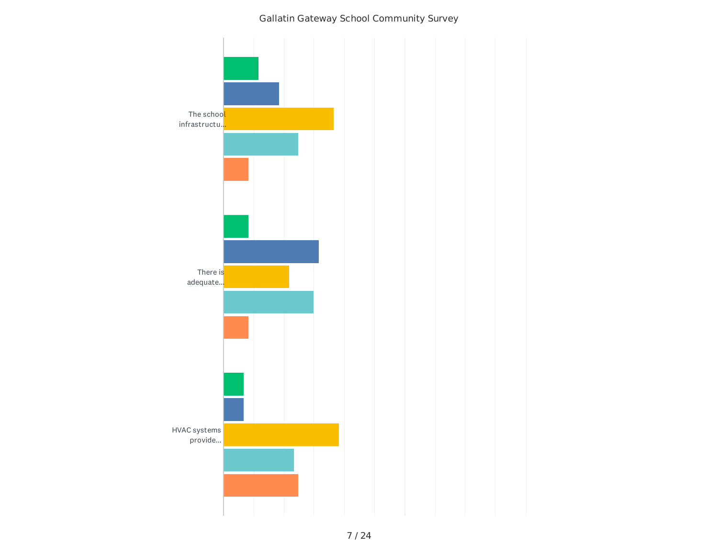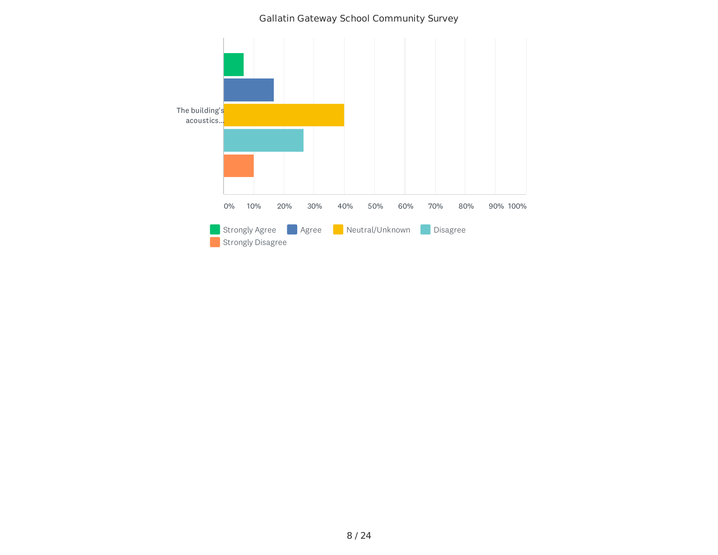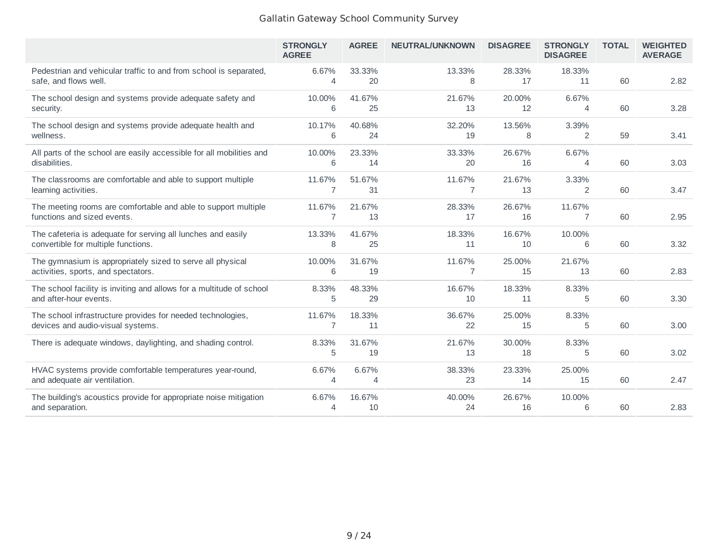|                                                                                                     | <b>STRONGLY</b><br><b>AGREE</b> | <b>AGREE</b> | <b>NEUTRAL/UNKNOWN</b> | <b>DISAGREE</b>             | <b>STRONGLY</b><br><b>DISAGREE</b> | <b>TOTAL</b> | <b>WEIGHTED</b><br><b>AVERAGE</b> |
|-----------------------------------------------------------------------------------------------------|---------------------------------|--------------|------------------------|-----------------------------|------------------------------------|--------------|-----------------------------------|
| Pedestrian and vehicular traffic to and from school is separated,<br>safe, and flows well.          | 6.67%<br>4                      | 33.33%<br>20 | 13.33%<br>8            | 28.33%<br>17                | 18.33%<br>11                       | 60           | 2.82                              |
| The school design and systems provide adequate safety and<br>security.                              | 10.00%<br>6                     | 41.67%<br>25 | 21.67%<br>13           | 20.00%<br>$12 \overline{ }$ | 6.67%<br>4                         | 60           | 3.28                              |
| The school design and systems provide adequate health and<br>wellness.                              | 10.17%<br>6                     | 40.68%<br>24 | 32.20%<br>19           | 13.56%<br>8                 | 3.39%<br>2                         | 59           | 3.41                              |
| All parts of the school are easily accessible for all mobilities and<br>disabilities.               | 10.00%<br>6                     | 23.33%<br>14 | 33.33%<br>20           | 26.67%<br>16                | 6.67%<br>4                         | 60           | 3.03                              |
| The classrooms are comfortable and able to support multiple<br>learning activities.                 | 11.67%<br>7                     | 51.67%<br>31 | 11.67%<br>7            | 21.67%<br>13                | 3.33%<br>2                         | 60           | 3.47                              |
| The meeting rooms are comfortable and able to support multiple<br>functions and sized events.       | 11.67%<br>7                     | 21.67%<br>13 | 28.33%<br>17           | 26.67%<br>16                | 11.67%<br>7                        | 60           | 2.95                              |
| The cafeteria is adequate for serving all lunches and easily<br>convertible for multiple functions. | 13.33%<br>8                     | 41.67%<br>25 | 18.33%<br>11           | 16.67%<br>10                | 10.00%<br>6                        | 60           | 3.32                              |
| The gymnasium is appropriately sized to serve all physical<br>activities, sports, and spectators.   | 10.00%<br>6                     | 31.67%<br>19 | 11.67%<br>7            | 25.00%<br>15                | 21.67%<br>13                       | 60           | 2.83                              |
| The school facility is inviting and allows for a multitude of school<br>and after-hour events.      | 8.33%<br>5                      | 48.33%<br>29 | 16.67%<br>10           | 18.33%<br>11                | 8.33%<br>5                         | 60           | 3.30                              |
| The school infrastructure provides for needed technologies,<br>devices and audio-visual systems.    | 11.67%<br>7                     | 18.33%<br>11 | 36.67%<br>22           | 25.00%<br>15                | 8.33%<br>5                         | 60           | 3.00                              |
| There is adequate windows, daylighting, and shading control.                                        | 8.33%<br>5                      | 31.67%<br>19 | 21.67%<br>13           | 30.00%<br>18                | 8.33%<br>5                         | 60           | 3.02                              |
| HVAC systems provide comfortable temperatures year-round,<br>and adequate air ventilation.          | 6.67%<br>4                      | 6.67%<br>4   | 38.33%<br>23           | 23.33%<br>14                | 25.00%<br>15                       | 60           | 2.47                              |
| The building's acoustics provide for appropriate noise mitigation<br>and separation.                | 6.67%<br>4                      | 16.67%<br>10 | 40.00%<br>24           | 26.67%<br>16                | 10.00%<br>6                        | 60           | 2.83                              |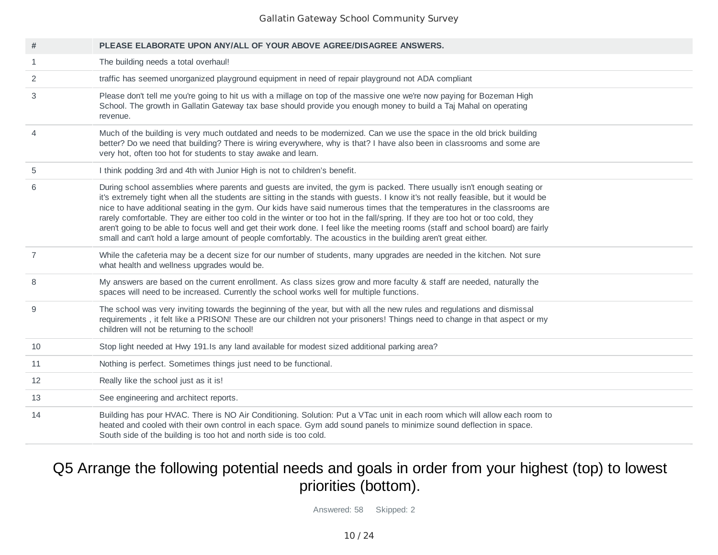| $\#$           | PLEASE ELABORATE UPON ANY/ALL OF YOUR ABOVE AGREE/DISAGREE ANSWERS.                                                                                                                                                                                                                                                                                                                                                                                                                                                                                                                                                                                                                                                                                                                |
|----------------|------------------------------------------------------------------------------------------------------------------------------------------------------------------------------------------------------------------------------------------------------------------------------------------------------------------------------------------------------------------------------------------------------------------------------------------------------------------------------------------------------------------------------------------------------------------------------------------------------------------------------------------------------------------------------------------------------------------------------------------------------------------------------------|
| 1              | The building needs a total overhaul!                                                                                                                                                                                                                                                                                                                                                                                                                                                                                                                                                                                                                                                                                                                                               |
| 2              | traffic has seemed unorganized playground equipment in need of repair playground not ADA compliant                                                                                                                                                                                                                                                                                                                                                                                                                                                                                                                                                                                                                                                                                 |
| 3              | Please don't tell me you're going to hit us with a millage on top of the massive one we're now paying for Bozeman High<br>School. The growth in Gallatin Gateway tax base should provide you enough money to build a Taj Mahal on operating<br>revenue.                                                                                                                                                                                                                                                                                                                                                                                                                                                                                                                            |
| $\overline{4}$ | Much of the building is very much outdated and needs to be modernized. Can we use the space in the old brick building<br>better? Do we need that building? There is wiring everywhere, why is that? I have also been in classrooms and some are<br>very hot, often too hot for students to stay awake and learn.                                                                                                                                                                                                                                                                                                                                                                                                                                                                   |
| 5              | I think podding 3rd and 4th with Junior High is not to children's benefit.                                                                                                                                                                                                                                                                                                                                                                                                                                                                                                                                                                                                                                                                                                         |
| 6              | During school assemblies where parents and guests are invited, the gym is packed. There usually isn't enough seating or<br>it's extremely tight when all the students are sitting in the stands with guests. I know it's not really feasible, but it would be<br>nice to have additional seating in the gym. Our kids have said numerous times that the temperatures in the classrooms are<br>rarely comfortable. They are either too cold in the winter or too hot in the fall/spring. If they are too hot or too cold, they<br>aren't going to be able to focus well and get their work done. I feel like the meeting rooms (staff and school board) are fairly<br>small and can't hold a large amount of people comfortably. The acoustics in the building aren't great either. |
| $\overline{7}$ | While the cafeteria may be a decent size for our number of students, many upgrades are needed in the kitchen. Not sure<br>what health and wellness upgrades would be.                                                                                                                                                                                                                                                                                                                                                                                                                                                                                                                                                                                                              |
| 8              | My answers are based on the current enrollment. As class sizes grow and more faculty & staff are needed, naturally the<br>spaces will need to be increased. Currently the school works well for multiple functions.                                                                                                                                                                                                                                                                                                                                                                                                                                                                                                                                                                |
| 9              | The school was very inviting towards the beginning of the year, but with all the new rules and regulations and dismissal<br>requirements, it felt like a PRISON! These are our children not your prisoners! Things need to change in that aspect or my<br>children will not be returning to the school!                                                                                                                                                                                                                                                                                                                                                                                                                                                                            |
| 10             | Stop light needed at Hwy 191.Is any land available for modest sized additional parking area?                                                                                                                                                                                                                                                                                                                                                                                                                                                                                                                                                                                                                                                                                       |
| 11             | Nothing is perfect. Sometimes things just need to be functional.                                                                                                                                                                                                                                                                                                                                                                                                                                                                                                                                                                                                                                                                                                                   |
| 12             | Really like the school just as it is!                                                                                                                                                                                                                                                                                                                                                                                                                                                                                                                                                                                                                                                                                                                                              |
| 13             | See engineering and architect reports.                                                                                                                                                                                                                                                                                                                                                                                                                                                                                                                                                                                                                                                                                                                                             |
| 14             | Building has pour HVAC. There is NO Air Conditioning. Solution: Put a VTac unit in each room which will allow each room to<br>heated and cooled with their own control in each space. Gym add sound panels to minimize sound deflection in space.<br>South side of the building is too hot and north side is too cold.                                                                                                                                                                                                                                                                                                                                                                                                                                                             |

## Q5 Arrange the following potential needs and goals in order from your highest (top) to lowest priorities (bottom).

Answered: 58 Skipped: 2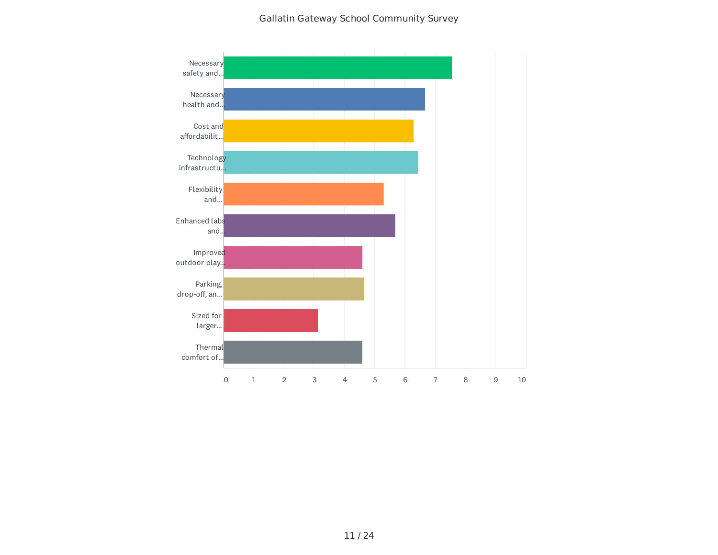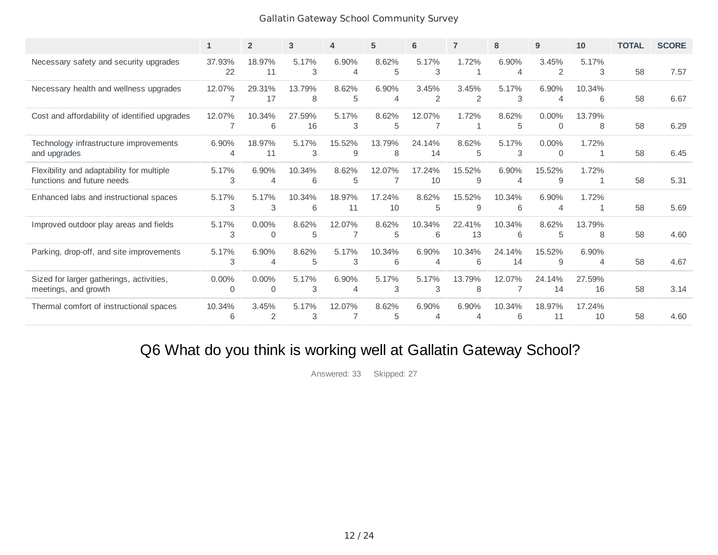|                                                                         | $\mathbf{1}$  | $\overline{2}$           | 3            | 4                       | 5            | 6            | $\overline{7}$ | 8                       | 9                       | 10           | <b>TOTAL</b> | <b>SCORE</b> |
|-------------------------------------------------------------------------|---------------|--------------------------|--------------|-------------------------|--------------|--------------|----------------|-------------------------|-------------------------|--------------|--------------|--------------|
| Necessary safety and security upgrades                                  | 37.93%<br>22  | 18.97%<br>11             | 5.17%<br>3   | 6.90%<br>$\overline{4}$ | 8.62%<br>5   | 5.17%<br>3   | 1.72%          | 6.90%<br>$\overline{4}$ | 3.45%<br>2              | 5.17%<br>3   | 58           | 7.57         |
| Necessary health and wellness upgrades                                  | 12.07%<br>7   | 29.31%<br>17             | 13.79%<br>8  | 8.62%<br>5              | 6.90%<br>4   | 3.45%<br>2   | 3.45%<br>2     | 5.17%<br>3              | 6.90%<br>$\overline{4}$ | 10.34%<br>6  | 58           | 6.67         |
| Cost and affordability of identified upgrades                           | 12.07%        | 10.34%<br>6              | 27.59%<br>16 | 5.17%<br>3              | 8.62%<br>5   | 12.07%       | 1.72%          | 8.62%<br>5              | $0.00\%$<br>$\Omega$    | 13.79%<br>8  | 58           | 6.29         |
| Technology infrastructure improvements<br>and upgrades                  | 6.90%<br>4    | 18.97%<br>11             | 5.17%<br>3   | 15.52%<br>9             | 13.79%<br>8  | 24.14%<br>14 | 8.62%<br>5     | 5.17%<br>3              | $0.00\%$<br>0           | 1.72%<br>1   | 58           | 6.45         |
| Flexibility and adaptability for multiple<br>functions and future needs | 5.17%<br>3    | 6.90%<br>4               | 10.34%<br>6  | 8.62%<br>5              | 12.07%       | 17.24%<br>10 | 15.52%<br>9    | 6.90%<br>4              | 15.52%<br>9             | 1.72%<br>1   | 58           | 5.31         |
| Enhanced labs and instructional spaces                                  | 5.17%<br>3    | 5.17%<br>3               | 10.34%<br>6  | 18.97%<br>11            | 17.24%<br>10 | 8.62%<br>5   | 15.52%<br>9    | 10.34%<br>6             | 6.90%<br>$\overline{4}$ | 1.72%<br>1   | 58           | 5.69         |
| Improved outdoor play areas and fields                                  | 5.17%<br>3    | $0.00\%$<br>$\mathbf{0}$ | 8.62%<br>5   | 12.07%                  | 8.62%<br>5   | 10.34%<br>6  | 22.41%<br>13   | 10.34%<br>6             | 8.62%<br>5              | 13.79%<br>8  | 58           | 4.60         |
| Parking, drop-off, and site improvements                                | 5.17%<br>3    | 6.90%<br>4               | 8.62%<br>5   | 5.17%<br>3              | 10.34%<br>6  | 6.90%<br>4   | 10.34%<br>6    | 24.14%<br>14            | 15.52%<br>9             | 6.90%<br>4   | 58           | 4.67         |
| Sized for larger gatherings, activities,<br>meetings, and growth        | $0.00\%$<br>0 | 0.00%<br>$\mathbf{0}$    | 5.17%<br>3   | 6.90%<br>$\overline{A}$ | 5.17%<br>3   | 5.17%<br>3   | 13.79%<br>8    | 12.07%                  | 24.14%<br>14            | 27.59%<br>16 | 58           | 3.14         |
| Thermal comfort of instructional spaces                                 | 10.34%<br>6   | 3.45%<br>2               | 5.17%<br>3   | 12.07%                  | 8.62%<br>5   | 6.90%<br>4   | 6.90%<br>4     | 10.34%<br>6             | 18.97%<br>11            | 17.24%<br>10 | 58           | 4.60         |

# Q6 What do you think is working well at Gallatin Gateway School?

Answered: 33 Skipped: 27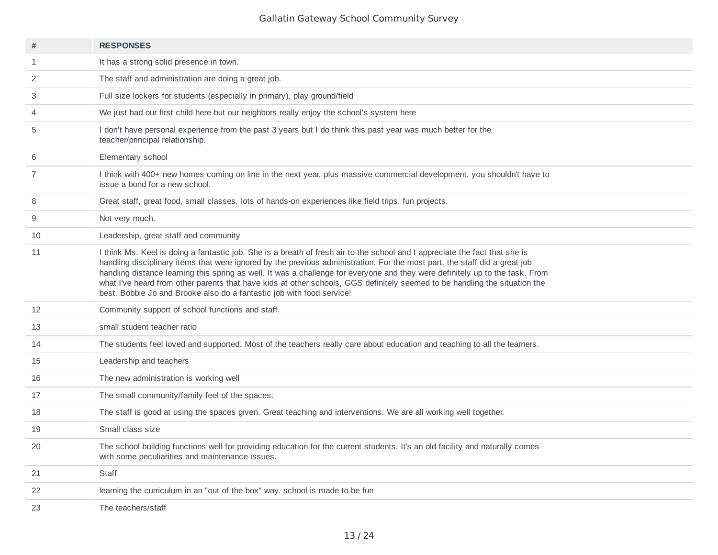| #  | <b>RESPONSES</b>                                                                                                                                                                                                                                                                                                                                                                                                                                                                                                                                                                                  |
|----|---------------------------------------------------------------------------------------------------------------------------------------------------------------------------------------------------------------------------------------------------------------------------------------------------------------------------------------------------------------------------------------------------------------------------------------------------------------------------------------------------------------------------------------------------------------------------------------------------|
| 1  | It has a strong solid presence in town.                                                                                                                                                                                                                                                                                                                                                                                                                                                                                                                                                           |
| 2  | The staff and administration are doing a great job.                                                                                                                                                                                                                                                                                                                                                                                                                                                                                                                                               |
| 3  | Full size lockers for students (especially in primary), play ground/field                                                                                                                                                                                                                                                                                                                                                                                                                                                                                                                         |
| 4  | We just had our first child here but our neighbors really enjoy the school's system here                                                                                                                                                                                                                                                                                                                                                                                                                                                                                                          |
| 5  | I don't have personal experience from the past 3 years but I do think this past year was much better for the<br>teacher/principal relationship.                                                                                                                                                                                                                                                                                                                                                                                                                                                   |
| 6  | Elementary school                                                                                                                                                                                                                                                                                                                                                                                                                                                                                                                                                                                 |
| 7  | I think with 400+ new homes coming on line in the next year, plus massive commercial development, you shouldn't have to<br>issue a bond for a new school.                                                                                                                                                                                                                                                                                                                                                                                                                                         |
| 8  | Great staff, great food, small classes, lots of hands-on experiences like field trips. fun projects.                                                                                                                                                                                                                                                                                                                                                                                                                                                                                              |
| 9  | Not very much.                                                                                                                                                                                                                                                                                                                                                                                                                                                                                                                                                                                    |
| 10 | Leadership, great staff and community                                                                                                                                                                                                                                                                                                                                                                                                                                                                                                                                                             |
| 11 | I think Ms. Keel is doing a fantastic job. She is a breath of fresh air to the school and I appreciate the fact that she is<br>handling disciplinary items that were ignored by the previous administration. For the most part, the staff did a great job<br>handling distance learning this spring as well. It was a challenge for everyone and they were definitely up to the task. From<br>what I've heard from other parents that have kids at other schools, GGS definitely seemed to be handling the situation the<br>best. Bobbie Jo and Brooke also do a fantastic job with food service! |
| 12 | Community support of school functions and staff.                                                                                                                                                                                                                                                                                                                                                                                                                                                                                                                                                  |
| 13 | small student teacher ratio                                                                                                                                                                                                                                                                                                                                                                                                                                                                                                                                                                       |
| 14 | The students feel loved and supported. Most of the teachers really care about education and teaching to all the learners.                                                                                                                                                                                                                                                                                                                                                                                                                                                                         |
| 15 | Leadership and teachers                                                                                                                                                                                                                                                                                                                                                                                                                                                                                                                                                                           |
| 16 | The new administration is working well                                                                                                                                                                                                                                                                                                                                                                                                                                                                                                                                                            |
| 17 | The small community/family feel of the spaces.                                                                                                                                                                                                                                                                                                                                                                                                                                                                                                                                                    |
| 18 | The staff is good at using the spaces given. Great teaching and interventions. We are all working well together.                                                                                                                                                                                                                                                                                                                                                                                                                                                                                  |
| 19 | Small class size                                                                                                                                                                                                                                                                                                                                                                                                                                                                                                                                                                                  |
| 20 | The school building functions well for providing education for the current students. It's an old facility and naturally comes<br>with some peculiarities and maintenance issues.                                                                                                                                                                                                                                                                                                                                                                                                                  |
| 21 | Staff                                                                                                                                                                                                                                                                                                                                                                                                                                                                                                                                                                                             |
| 22 | learning the curriculum in an "out of the box" way. school is made to be fun                                                                                                                                                                                                                                                                                                                                                                                                                                                                                                                      |
| 23 | The teachers/staff                                                                                                                                                                                                                                                                                                                                                                                                                                                                                                                                                                                |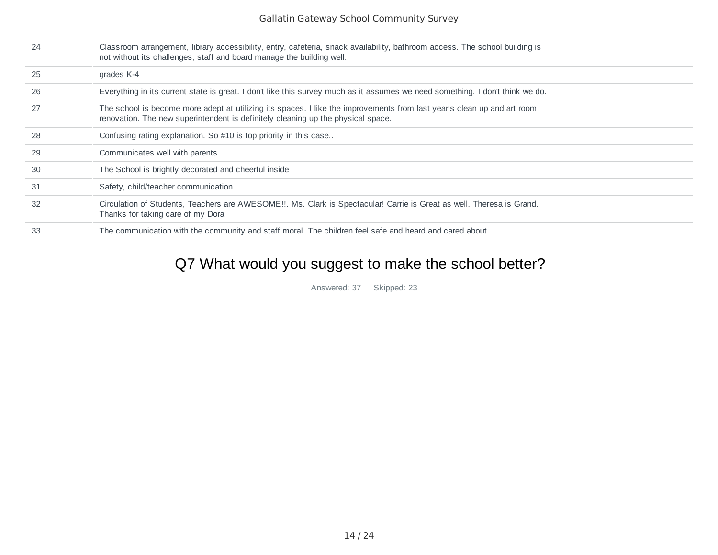| 24 | Classroom arrangement, library accessibility, entry, cafeteria, snack availability, bathroom access. The school building is<br>not without its challenges, staff and board manage the building well.        |
|----|-------------------------------------------------------------------------------------------------------------------------------------------------------------------------------------------------------------|
| 25 | grades K-4                                                                                                                                                                                                  |
| 26 | Everything in its current state is great. I don't like this survey much as it assumes we need something. I don't think we do.                                                                               |
| 27 | The school is become more adept at utilizing its spaces. I like the improvements from last year's clean up and art room<br>renovation. The new superintendent is definitely cleaning up the physical space. |
| 28 | Confusing rating explanation. So #10 is top priority in this case                                                                                                                                           |
| 29 | Communicates well with parents.                                                                                                                                                                             |
| 30 | The School is brightly decorated and cheerful inside                                                                                                                                                        |
| 31 | Safety, child/teacher communication                                                                                                                                                                         |
| 32 | Circulation of Students, Teachers are AWESOME!!. Ms. Clark is Spectacular! Carrie is Great as well. Theresa is Grand.<br>Thanks for taking care of my Dora                                                  |
| 33 | The communication with the community and staff moral. The children feel safe and heard and cared about.                                                                                                     |

## Q7 What would you suggest to make the school better?

Answered: 37 Skipped: 23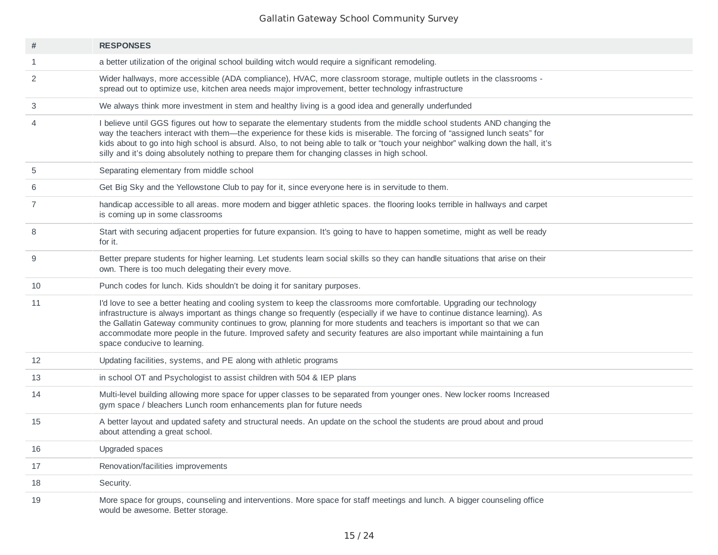| #  | <b>RESPONSES</b>                                                                                                                                                                                                                                                                                                                                                                                                                                                                                                                         |
|----|------------------------------------------------------------------------------------------------------------------------------------------------------------------------------------------------------------------------------------------------------------------------------------------------------------------------------------------------------------------------------------------------------------------------------------------------------------------------------------------------------------------------------------------|
| 1  | a better utilization of the original school building witch would require a significant remodeling.                                                                                                                                                                                                                                                                                                                                                                                                                                       |
| 2  | Wider hallways, more accessible (ADA compliance), HVAC, more classroom storage, multiple outlets in the classrooms -<br>spread out to optimize use, kitchen area needs major improvement, better technology infrastructure                                                                                                                                                                                                                                                                                                               |
| 3  | We always think more investment in stem and healthy living is a good idea and generally underfunded                                                                                                                                                                                                                                                                                                                                                                                                                                      |
| 4  | I believe until GGS figures out how to separate the elementary students from the middle school students AND changing the<br>way the teachers interact with them—the experience for these kids is miserable. The forcing of "assigned lunch seats" for<br>kids about to go into high school is absurd. Also, to not being able to talk or "touch your neighbor" walking down the hall, it's<br>silly and it's doing absolutely nothing to prepare them for changing classes in high school.                                               |
| 5  | Separating elementary from middle school                                                                                                                                                                                                                                                                                                                                                                                                                                                                                                 |
| 6  | Get Big Sky and the Yellowstone Club to pay for it, since everyone here is in servitude to them.                                                                                                                                                                                                                                                                                                                                                                                                                                         |
| 7  | handicap accessible to all areas. more modern and bigger athletic spaces. the flooring looks terrible in hallways and carpet<br>is coming up in some classrooms                                                                                                                                                                                                                                                                                                                                                                          |
| 8  | Start with securing adjacent properties for future expansion. It's going to have to happen sometime, might as well be ready<br>for it.                                                                                                                                                                                                                                                                                                                                                                                                   |
| 9  | Better prepare students for higher learning. Let students learn social skills so they can handle situations that arise on their<br>own. There is too much delegating their every move.                                                                                                                                                                                                                                                                                                                                                   |
| 10 | Punch codes for lunch. Kids shouldn't be doing it for sanitary purposes.                                                                                                                                                                                                                                                                                                                                                                                                                                                                 |
| 11 | I'd love to see a better heating and cooling system to keep the classrooms more comfortable. Upgrading our technology<br>infrastructure is always important as things change so frequently (especially if we have to continue distance learning). As<br>the Gallatin Gateway community continues to grow, planning for more students and teachers is important so that we can<br>accommodate more people in the future. Improved safety and security features are also important while maintaining a fun<br>space conducive to learning. |
| 12 | Updating facilities, systems, and PE along with athletic programs                                                                                                                                                                                                                                                                                                                                                                                                                                                                        |
| 13 | in school OT and Psychologist to assist children with 504 & IEP plans                                                                                                                                                                                                                                                                                                                                                                                                                                                                    |
| 14 | Multi-level building allowing more space for upper classes to be separated from younger ones. New locker rooms Increased<br>gym space / bleachers Lunch room enhancements plan for future needs                                                                                                                                                                                                                                                                                                                                          |
| 15 | A better layout and updated safety and structural needs. An update on the school the students are proud about and proud<br>about attending a great school.                                                                                                                                                                                                                                                                                                                                                                               |
| 16 | Upgraded spaces                                                                                                                                                                                                                                                                                                                                                                                                                                                                                                                          |
| 17 | Renovation/facilities improvements                                                                                                                                                                                                                                                                                                                                                                                                                                                                                                       |
| 18 | Security.                                                                                                                                                                                                                                                                                                                                                                                                                                                                                                                                |
| 19 | More space for groups, counseling and interventions. More space for staff meetings and lunch. A bigger counseling office<br>would be awesome. Better storage.                                                                                                                                                                                                                                                                                                                                                                            |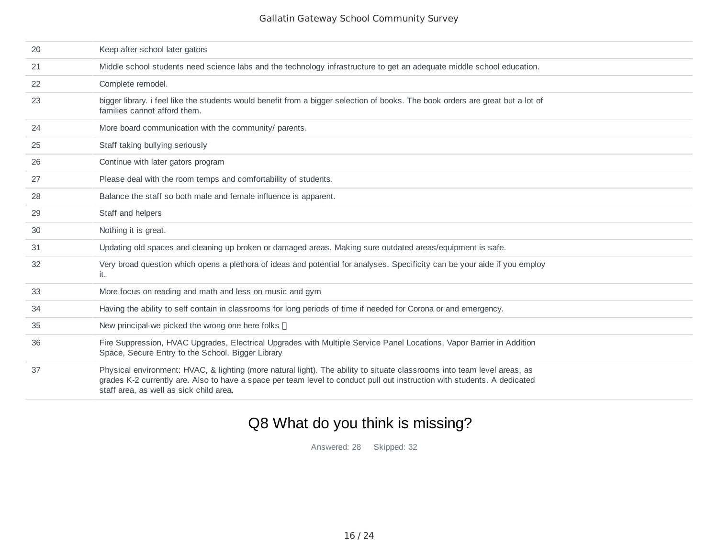| 20 | Keep after school later gators                                                                                                                                                                                                                                                                  |
|----|-------------------------------------------------------------------------------------------------------------------------------------------------------------------------------------------------------------------------------------------------------------------------------------------------|
| 21 | Middle school students need science labs and the technology infrastructure to get an adequate middle school education.                                                                                                                                                                          |
| 22 | Complete remodel.                                                                                                                                                                                                                                                                               |
| 23 | bigger library. i feel like the students would benefit from a bigger selection of books. The book orders are great but a lot of<br>families cannot afford them.                                                                                                                                 |
| 24 | More board communication with the community/ parents.                                                                                                                                                                                                                                           |
| 25 | Staff taking bullying seriously                                                                                                                                                                                                                                                                 |
| 26 | Continue with later gators program                                                                                                                                                                                                                                                              |
| 27 | Please deal with the room temps and comfortability of students.                                                                                                                                                                                                                                 |
| 28 | Balance the staff so both male and female influence is apparent.                                                                                                                                                                                                                                |
| 29 | Staff and helpers                                                                                                                                                                                                                                                                               |
| 30 | Nothing it is great.                                                                                                                                                                                                                                                                            |
| 31 | Updating old spaces and cleaning up broken or damaged areas. Making sure outdated areas/equipment is safe.                                                                                                                                                                                      |
| 32 | Very broad question which opens a plethora of ideas and potential for analyses. Specificity can be your aide if you employ<br>it.                                                                                                                                                               |
| 33 | More focus on reading and math and less on music and gym                                                                                                                                                                                                                                        |
| 34 | Having the ability to self contain in classrooms for long periods of time if needed for Corona or and emergency.                                                                                                                                                                                |
| 35 | New principal-we picked the wrong one here folks []                                                                                                                                                                                                                                             |
| 36 | Fire Suppression, HVAC Upgrades, Electrical Upgrades with Multiple Service Panel Locations, Vapor Barrier in Addition<br>Space, Secure Entry to the School. Bigger Library                                                                                                                      |
| 37 | Physical environment: HVAC, & lighting (more natural light). The ability to situate classrooms into team level areas, as<br>grades K-2 currently are. Also to have a space per team level to conduct pull out instruction with students. A dedicated<br>staff area, as well as sick child area. |

# Q8 What do you think is missing?

Answered: 28 Skipped: 32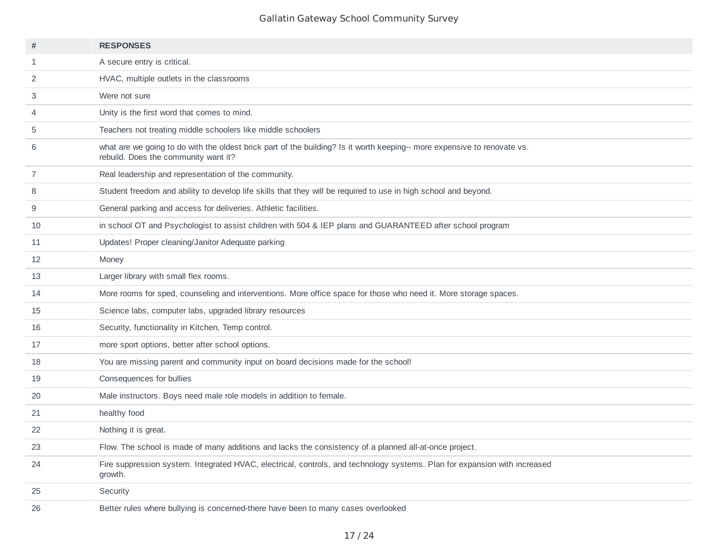| #  | <b>RESPONSES</b>                                                                                                                                                 |
|----|------------------------------------------------------------------------------------------------------------------------------------------------------------------|
| 1  | A secure entry is critical.                                                                                                                                      |
| 2  | HVAC, multiple outlets in the classrooms                                                                                                                         |
| 3  | Were not sure                                                                                                                                                    |
| 4  | Unity is the first word that comes to mind.                                                                                                                      |
| 5  | Teachers not treating middle schoolers like middle schoolers                                                                                                     |
| 6  | what are we going to do with the oldest brick part of the building? Is it worth keeping-- more expensive to renovate vs.<br>rebuild. Does the community want it? |
| 7  | Real leadership and representation of the community.                                                                                                             |
| 8  | Student freedom and ability to develop life skills that they will be required to use in high school and beyond.                                                  |
| 9  | General parking and access for deliveries. Athletic facilities.                                                                                                  |
| 10 | in school OT and Psychologist to assist children with 504 & IEP plans and GUARANTEED after school program                                                        |
| 11 | Updates! Proper cleaning/Janitor Adequate parking                                                                                                                |
| 12 | Money                                                                                                                                                            |
| 13 | Larger library with small flex rooms.                                                                                                                            |
| 14 | More rooms for sped, counseling and interventions. More office space for those who need it. More storage spaces.                                                 |
| 15 | Science labs, computer labs, upgraded library resources                                                                                                          |
| 16 | Security, functionality in Kitchen, Temp control.                                                                                                                |
| 17 | more sport options, better after school options.                                                                                                                 |
| 18 | You are missing parent and community input on board decisions made for the school!                                                                               |
| 19 | Consequences for bullies                                                                                                                                         |
| 20 | Male instructors. Boys need male role models in addition to female.                                                                                              |
| 21 | healthy food                                                                                                                                                     |
| 22 | Nothing it is great.                                                                                                                                             |
| 23 | Flow. The school is made of many additions and lacks the consistency of a planned all-at-once project.                                                           |
| 24 | Fire suppression system. Integrated HVAC, electrical, controls, and technology systems. Plan for expansion with increased<br>growth.                             |
| 25 | Security                                                                                                                                                         |
| 26 | Better rules where bullying is concerned-there have been to many cases overlooked                                                                                |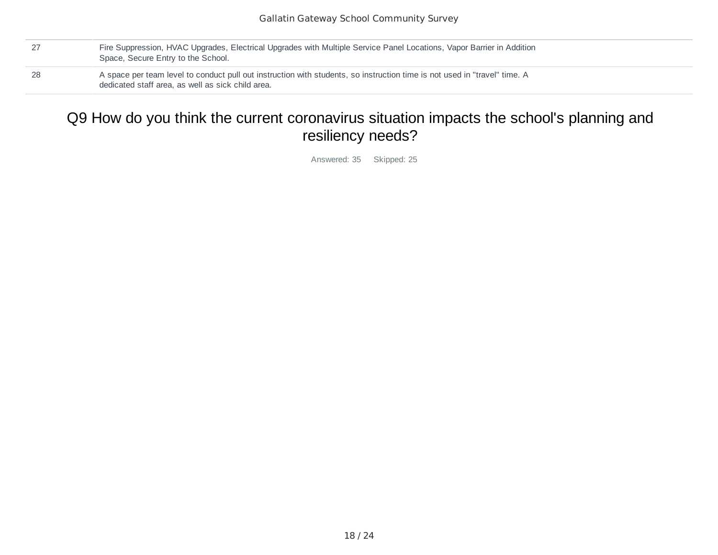- 27 Fire Suppression, HVAC Upgrades, Electrical Upgrades with Multiple Service Panel Locations, Vapor Barrier in Addition Space, Secure Entry to the School.
- 28 A space per team level to conduct pull out instruction with students, so instruction time is not used in "travel" time. A dedicated staff area, as well as sick child area.

## Q9 How do you think the current coronavirus situation impacts the school's planning and resiliency needs?

Answered: 35 Skipped: 25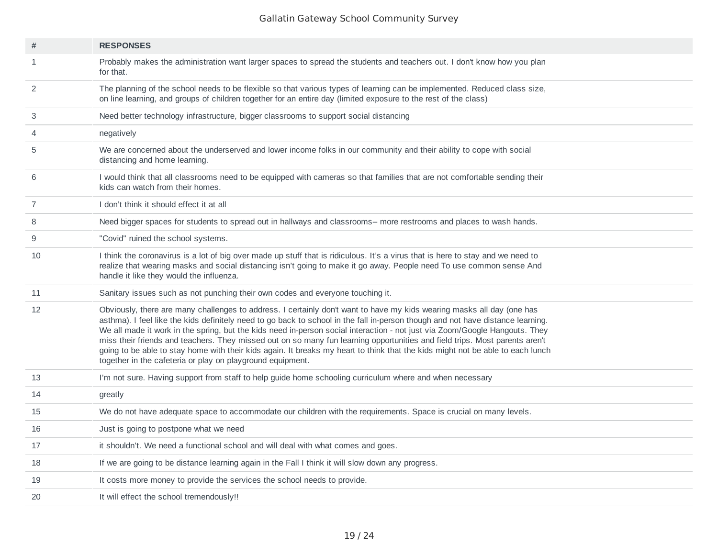| $\#$ | <b>RESPONSES</b>                                                                                                                                                                                                                                                                                                                                                                                                                                                                                                                                                                                                                                                                                                        |
|------|-------------------------------------------------------------------------------------------------------------------------------------------------------------------------------------------------------------------------------------------------------------------------------------------------------------------------------------------------------------------------------------------------------------------------------------------------------------------------------------------------------------------------------------------------------------------------------------------------------------------------------------------------------------------------------------------------------------------------|
| 1    | Probably makes the administration want larger spaces to spread the students and teachers out. I don't know how you plan<br>for that.                                                                                                                                                                                                                                                                                                                                                                                                                                                                                                                                                                                    |
| 2    | The planning of the school needs to be flexible so that various types of learning can be implemented. Reduced class size,<br>on line learning, and groups of children together for an entire day (limited exposure to the rest of the class)                                                                                                                                                                                                                                                                                                                                                                                                                                                                            |
| 3    | Need better technology infrastructure, bigger classrooms to support social distancing                                                                                                                                                                                                                                                                                                                                                                                                                                                                                                                                                                                                                                   |
| 4    | negatively                                                                                                                                                                                                                                                                                                                                                                                                                                                                                                                                                                                                                                                                                                              |
| 5    | We are concerned about the underserved and lower income folks in our community and their ability to cope with social<br>distancing and home learning.                                                                                                                                                                                                                                                                                                                                                                                                                                                                                                                                                                   |
| 6    | I would think that all classrooms need to be equipped with cameras so that families that are not comfortable sending their<br>kids can watch from their homes.                                                                                                                                                                                                                                                                                                                                                                                                                                                                                                                                                          |
| 7    | I don't think it should effect it at all                                                                                                                                                                                                                                                                                                                                                                                                                                                                                                                                                                                                                                                                                |
| 8    | Need bigger spaces for students to spread out in hallways and classrooms-- more restrooms and places to wash hands.                                                                                                                                                                                                                                                                                                                                                                                                                                                                                                                                                                                                     |
| 9    | "Covid" ruined the school systems.                                                                                                                                                                                                                                                                                                                                                                                                                                                                                                                                                                                                                                                                                      |
| 10   | I think the coronavirus is a lot of big over made up stuff that is ridiculous. It's a virus that is here to stay and we need to<br>realize that wearing masks and social distancing isn't going to make it go away. People need To use common sense And<br>handle it like they would the influenza.                                                                                                                                                                                                                                                                                                                                                                                                                     |
| 11   | Sanitary issues such as not punching their own codes and everyone touching it.                                                                                                                                                                                                                                                                                                                                                                                                                                                                                                                                                                                                                                          |
| 12   | Obviously, there are many challenges to address. I certainly don't want to have my kids wearing masks all day (one has<br>asthma). I feel like the kids definitely need to go back to school in the fall in-person though and not have distance learning.<br>We all made it work in the spring, but the kids need in-person social interaction - not just via Zoom/Google Hangouts. They<br>miss their friends and teachers. They missed out on so many fun learning opportunities and field trips. Most parents aren't<br>going to be able to stay home with their kids again. It breaks my heart to think that the kids might not be able to each lunch<br>together in the cafeteria or play on playground equipment. |
| 13   | I'm not sure. Having support from staff to help guide home schooling curriculum where and when necessary                                                                                                                                                                                                                                                                                                                                                                                                                                                                                                                                                                                                                |
| 14   | greatly                                                                                                                                                                                                                                                                                                                                                                                                                                                                                                                                                                                                                                                                                                                 |
| 15   | We do not have adequate space to accommodate our children with the requirements. Space is crucial on many levels.                                                                                                                                                                                                                                                                                                                                                                                                                                                                                                                                                                                                       |
| 16   | Just is going to postpone what we need                                                                                                                                                                                                                                                                                                                                                                                                                                                                                                                                                                                                                                                                                  |
| 17   | it shouldn't. We need a functional school and will deal with what comes and goes.                                                                                                                                                                                                                                                                                                                                                                                                                                                                                                                                                                                                                                       |
| 18   | If we are going to be distance learning again in the Fall I think it will slow down any progress.                                                                                                                                                                                                                                                                                                                                                                                                                                                                                                                                                                                                                       |
| 19   | It costs more money to provide the services the school needs to provide.                                                                                                                                                                                                                                                                                                                                                                                                                                                                                                                                                                                                                                                |
| 20   | It will effect the school tremendously!!                                                                                                                                                                                                                                                                                                                                                                                                                                                                                                                                                                                                                                                                                |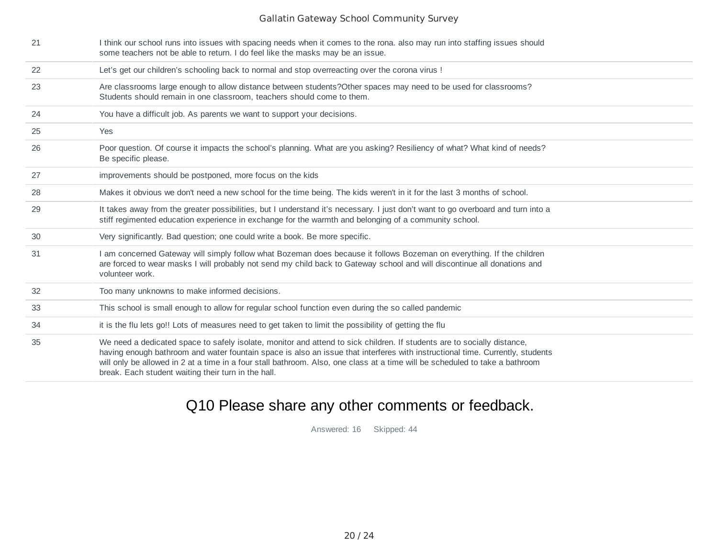| 21 | I think our school runs into issues with spacing needs when it comes to the rona. also may run into staffing issues should<br>some teachers not be able to return. I do feel like the masks may be an issue.                                                                                                                                                                                                                                    |
|----|-------------------------------------------------------------------------------------------------------------------------------------------------------------------------------------------------------------------------------------------------------------------------------------------------------------------------------------------------------------------------------------------------------------------------------------------------|
| 22 | Let's get our children's schooling back to normal and stop overreacting over the corona virus !                                                                                                                                                                                                                                                                                                                                                 |
| 23 | Are classrooms large enough to allow distance between students? Other spaces may need to be used for classrooms?<br>Students should remain in one classroom, teachers should come to them.                                                                                                                                                                                                                                                      |
| 24 | You have a difficult job. As parents we want to support your decisions.                                                                                                                                                                                                                                                                                                                                                                         |
| 25 | Yes                                                                                                                                                                                                                                                                                                                                                                                                                                             |
| 26 | Poor question. Of course it impacts the school's planning. What are you asking? Resiliency of what? What kind of needs?<br>Be specific please.                                                                                                                                                                                                                                                                                                  |
| 27 | improvements should be postponed, more focus on the kids                                                                                                                                                                                                                                                                                                                                                                                        |
| 28 | Makes it obvious we don't need a new school for the time being. The kids weren't in it for the last 3 months of school.                                                                                                                                                                                                                                                                                                                         |
| 29 | It takes away from the greater possibilities, but I understand it's necessary. I just don't want to go overboard and turn into a<br>stiff regimented education experience in exchange for the warmth and belonging of a community school.                                                                                                                                                                                                       |
| 30 | Very significantly. Bad question; one could write a book. Be more specific.                                                                                                                                                                                                                                                                                                                                                                     |
| 31 | I am concerned Gateway will simply follow what Bozeman does because it follows Bozeman on everything. If the children<br>are forced to wear masks I will probably not send my child back to Gateway school and will discontinue all donations and<br>volunteer work.                                                                                                                                                                            |
| 32 | Too many unknowns to make informed decisions.                                                                                                                                                                                                                                                                                                                                                                                                   |
| 33 | This school is small enough to allow for regular school function even during the so called pandemic                                                                                                                                                                                                                                                                                                                                             |
| 34 | it is the flu lets go!! Lots of measures need to get taken to limit the possibility of getting the flu                                                                                                                                                                                                                                                                                                                                          |
| 35 | We need a dedicated space to safely isolate, monitor and attend to sick children. If students are to socially distance,<br>having enough bathroom and water fountain space is also an issue that interferes with instructional time. Currently, students<br>will only be allowed in 2 at a time in a four stall bathroom. Also, one class at a time will be scheduled to take a bathroom<br>break. Each student waiting their turn in the hall. |

# Q10 Please share any other comments or feedback.

Answered: 16 Skipped: 44